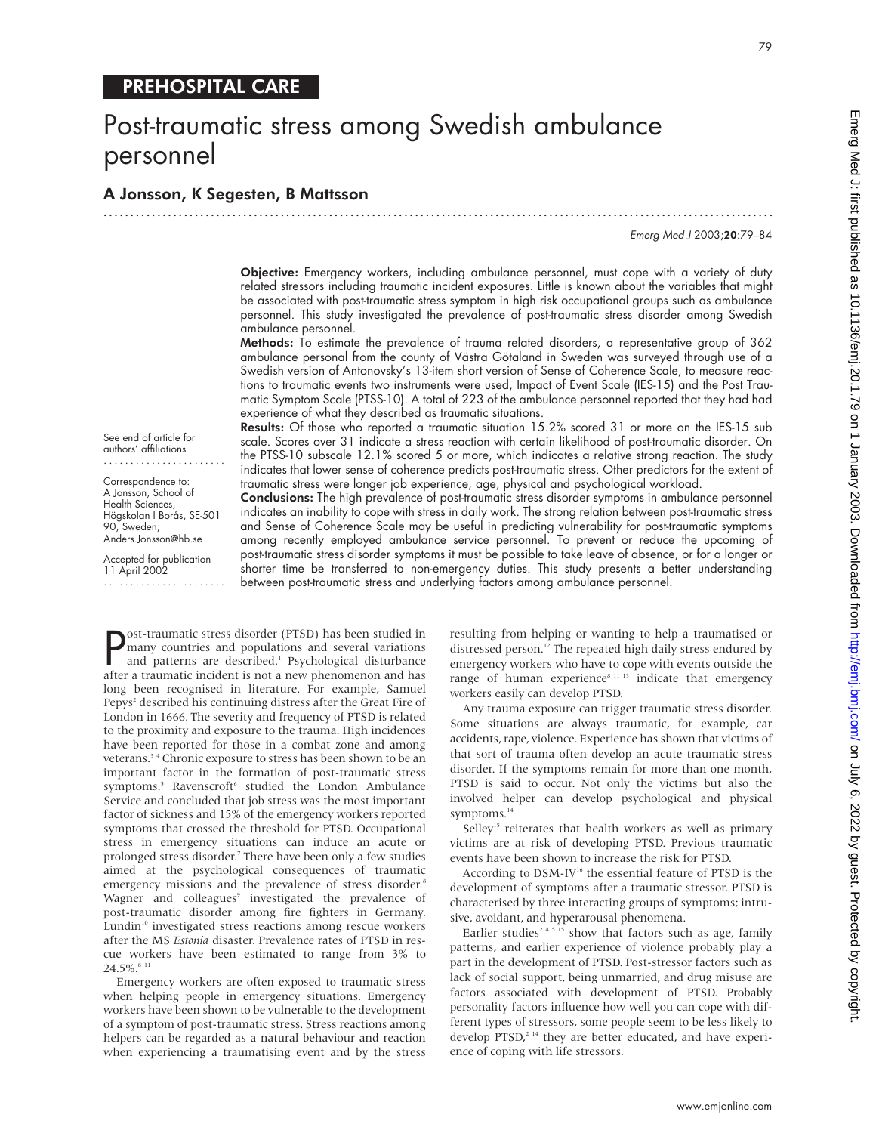## PREHOSPITAL CARE

# Post-traumatic stress among Swedish ambulance personnel

.............................................................................................................................

## A Jonsson, K Segesten, B Mattsson

Emerg Med J 2003;20:79–84

Objective: Emergency workers, including ambulance personnel, must cope with a variety of duty related stressors including traumatic incident exposures. Little is known about the variables that might be associated with post-traumatic stress symptom in high risk occupational groups such as ambulance personnel. This study investigated the prevalence of post-traumatic stress disorder among Swedish ambulance personnel.

Methods: To estimate the prevalence of trauma related disorders, a representative group of 362 ambulance personal from the county of Västra Götaland in Sweden was surveyed through use of a Swedish version of Antonovsky's 13-item short version of Sense of Coherence Scale, to measure reactions to traumatic events two instruments were used, Impact of Event Scale (IES-15) and the Post Traumatic Symptom Scale (PTSS-10). A total of 223 of the ambulance personnel reported that they had had experience of what they described as traumatic situations. Results: Of those who reported a traumatic situation 15.2% scored 31 or more on the IES-15 sub

See end of article for authors' affiliations

Correspondence to: A Jonsson, School of Health Sciences, Högskolan I Borås, SE-501 90, Sweden; Anders.Jonsson@hb.se

Accepted for publication 11 April 2002 ....................... the PTSS-10 subscale 12.1% scored 5 or more, which indicates a relative strong reaction. The study indicates that lower sense of coherence predicts post-traumatic stress. Other predictors for the extent of traumatic stress were longer job experience, age, physical and psychological workload. Conclusions: The high prevalence of post-traumatic stress disorder symptoms in ambulance personnel indicates an inability to cope with stress in daily work. The strong relation between post-traumatic stress and Sense of Coherence Scale may be useful in predicting vulnerability for post-traumatic symptoms among recently employed ambulance service personnel. To prevent or reduce the upcoming of

scale. Scores over 31 indicate a stress reaction with certain likelihood of post-traumatic disorder. On

post-traumatic stress disorder symptoms it must be possible to take leave of absence, or for a longer or shorter time be transferred to non-emergency duties. This study presents a better understanding between post-traumatic stress and underlying factors among ambulance personnel.

**P** ost-traumatic stress disorder (PTSD) has been studied in many countries and populations and several variations and patterns are described.<sup>1</sup> Psychological disturbance after a traumatic incident is not a new phenomenon ost-traumatic stress disorder (PTSD) has been studied in many countries and populations and several variations and patterns are described.<sup>1</sup> Psychological disturbance long been recognised in literature. For example, Samuel Pepys<sup>2</sup> described his continuing distress after the Great Fire of London in 1666. The severity and frequency of PTSD is related to the proximity and exposure to the trauma. High incidences have been reported for those in a combat zone and among veterans.<sup>34</sup> Chronic exposure to stress has been shown to be an important factor in the formation of post-traumatic stress symptoms.<sup>5</sup> Ravenscroft<sup>6</sup> studied the London Ambulance Service and concluded that job stress was the most important factor of sickness and 15% of the emergency workers reported symptoms that crossed the threshold for PTSD. Occupational stress in emergency situations can induce an acute or prolonged stress disorder.7 There have been only a few studies aimed at the psychological consequences of traumatic emergency missions and the prevalence of stress disorder.<sup>8</sup> Wagner and colleagues<sup>9</sup> investigated the prevalence of post-traumatic disorder among fire fighters in Germany. Lundin<sup>10</sup> investigated stress reactions among rescue workers after the MS *Estonia* disaster. Prevalence rates of PTSD in rescue workers have been estimated to range from 3% to  $24.5\%$ .  $81$ 

Emergency workers are often exposed to traumatic stress when helping people in emergency situations. Emergency workers have been shown to be vulnerable to the development of a symptom of post-traumatic stress. Stress reactions among helpers can be regarded as a natural behaviour and reaction when experiencing a traumatising event and by the stress

resulting from helping or wanting to help a traumatised or distressed person.<sup>12</sup> The repeated high daily stress endured by emergency workers who have to cope with events outside the range of human experience<sup>8 11 13</sup> indicate that emergency workers easily can develop PTSD.

Any trauma exposure can trigger traumatic stress disorder. Some situations are always traumatic, for example, car accidents, rape, violence. Experience has shown that victims of that sort of trauma often develop an acute traumatic stress disorder. If the symptoms remain for more than one month, PTSD is said to occur. Not only the victims but also the involved helper can develop psychological and physical symptoms.<sup>14</sup>

Selley<sup>15</sup> reiterates that health workers as well as primary victims are at risk of developing PTSD. Previous traumatic events have been shown to increase the risk for PTSD.

According to DSM-IV<sup>16</sup> the essential feature of PTSD is the development of symptoms after a traumatic stressor. PTSD is characterised by three interacting groups of symptoms; intrusive, avoidant, and hyperarousal phenomena.

Earlier studies<sup>245 15</sup> show that factors such as age, family patterns, and earlier experience of violence probably play a part in the development of PTSD. Post-stressor factors such as lack of social support, being unmarried, and drug misuse are factors associated with development of PTSD. Probably personality factors influence how well you can cope with different types of stressors, some people seem to be less likely to develop  $PTSD<sup>214</sup>$  they are better educated, and have experience of coping with life stressors.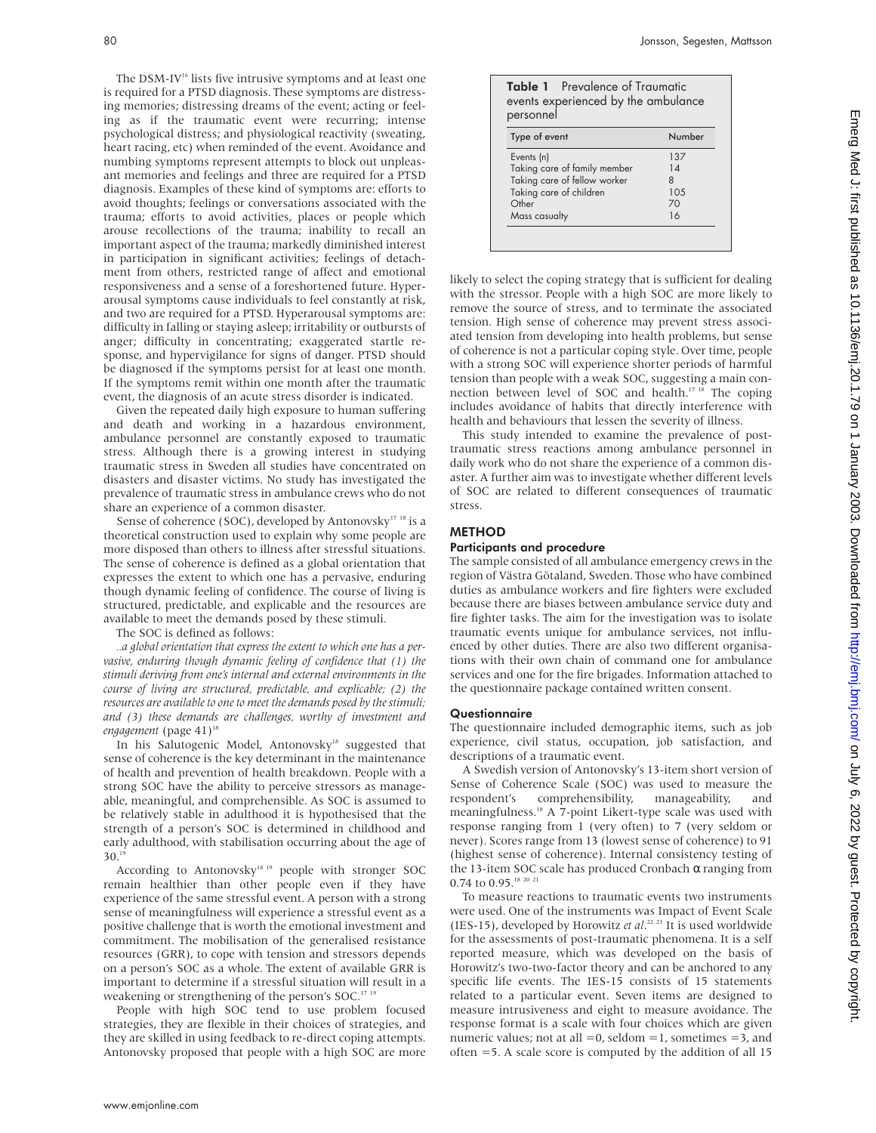The DSM-IV<sup>16</sup> lists five intrusive symptoms and at least one is required for a PTSD diagnosis. These symptoms are distressing memories; distressing dreams of the event; acting or feeling as if the traumatic event were recurring; intense psychological distress; and physiological reactivity (sweating, heart racing, etc) when reminded of the event. Avoidance and numbing symptoms represent attempts to block out unpleasant memories and feelings and three are required for a PTSD diagnosis. Examples of these kind of symptoms are: efforts to avoid thoughts; feelings or conversations associated with the trauma; efforts to avoid activities, places or people which arouse recollections of the trauma; inability to recall an important aspect of the trauma; markedly diminished interest in participation in significant activities; feelings of detachment from others, restricted range of affect and emotional responsiveness and a sense of a foreshortened future. Hyperarousal symptoms cause individuals to feel constantly at risk, and two are required for a PTSD. Hyperarousal symptoms are: difficulty in falling or staying asleep; irritability or outbursts of anger; difficulty in concentrating; exaggerated startle response, and hypervigilance for signs of danger. PTSD should be diagnosed if the symptoms persist for at least one month. If the symptoms remit within one month after the traumatic event, the diagnosis of an acute stress disorder is indicated.

Given the repeated daily high exposure to human suffering and death and working in a hazardous environment, ambulance personnel are constantly exposed to traumatic stress. Although there is a growing interest in studying traumatic stress in Sweden all studies have concentrated on disasters and disaster victims. No study has investigated the prevalence of traumatic stress in ambulance crews who do not share an experience of a common disaster.

Sense of coherence (SOC), developed by Antonovsky<sup>17</sup><sup>18</sup> is a theoretical construction used to explain why some people are more disposed than others to illness after stressful situations. The sense of coherence is defined as a global orientation that expresses the extent to which one has a pervasive, enduring though dynamic feeling of confidence. The course of living is structured, predictable, and explicable and the resources are available to meet the demands posed by these stimuli.

The SOC is defined as follows:

*..a global orientation that express the extent to which one has a pervasive, enduring though dynamic feeling of confidence that (1) the stimuli deriving from one's internal and external environments in the course of living are structured, predictable, and explicable; (2) the resources are available to one to meet the demands posed by the stimuli; and (3) these demands are challenges, worthy of investment and* engagement (page 41)<sup>18</sup>

In his Salutogenic Model, Antonovsky<sup>18</sup> suggested that sense of coherence is the key determinant in the maintenance of health and prevention of health breakdown. People with a strong SOC have the ability to perceive stressors as manageable, meaningful, and comprehensible. As SOC is assumed to be relatively stable in adulthood it is hypothesised that the strength of a person's SOC is determined in childhood and early adulthood, with stabilisation occurring about the age of 30.19

According to Antonovsky<sup>18 19</sup> people with stronger SOC remain healthier than other people even if they have experience of the same stressful event. A person with a strong sense of meaningfulness will experience a stressful event as a positive challenge that is worth the emotional investment and commitment. The mobilisation of the generalised resistance resources (GRR), to cope with tension and stressors depends on a person's SOC as a whole. The extent of available GRR is important to determine if a stressful situation will result in a weakening or strengthening of the person's SOC.<sup>17</sup>

People with high SOC tend to use problem focused strategies, they are flexible in their choices of strategies, and they are skilled in using feedback to re-direct coping attempts. Antonovsky proposed that people with a high SOC are more

|           | <b>Table 1</b> Prevalence of Traumatic<br>events experienced by the ambulance |  |
|-----------|-------------------------------------------------------------------------------|--|
|           |                                                                               |  |
| personnel |                                                                               |  |
|           |                                                                               |  |

| Type of event                | Number |
|------------------------------|--------|
| Events (n)                   | 137    |
| Taking care of family member | 14     |
| Taking care of fellow worker | 8      |
| Taking care of children      | 10.5   |
| Other                        | 70     |
| Mass casualty                | 16     |

likely to select the coping strategy that is sufficient for dealing with the stressor. People with a high SOC are more likely to remove the source of stress, and to terminate the associated tension. High sense of coherence may prevent stress associated tension from developing into health problems, but sense of coherence is not a particular coping style. Over time, people with a strong SOC will experience shorter periods of harmful tension than people with a weak SOC, suggesting a main connection between level of SOC and health.17 18 The coping includes avoidance of habits that directly interference with health and behaviours that lessen the severity of illness.

This study intended to examine the prevalence of posttraumatic stress reactions among ambulance personnel in daily work who do not share the experience of a common disaster. A further aim was to investigate whether different levels of SOC are related to different consequences of traumatic stress.

#### METHOD

#### Participants and procedure

The sample consisted of all ambulance emergency crews in the region of Västra Götaland, Sweden. Those who have combined duties as ambulance workers and fire fighters were excluded because there are biases between ambulance service duty and fire fighter tasks. The aim for the investigation was to isolate traumatic events unique for ambulance services, not influenced by other duties. There are also two different organisations with their own chain of command one for ambulance services and one for the fire brigades. Information attached to the questionnaire package contained written consent.

#### Questionnaire

The questionnaire included demographic items, such as job experience, civil status, occupation, job satisfaction, and descriptions of a traumatic event.

A Swedish version of Antonovsky's 13-item short version of Sense of Coherence Scale (SOC) was used to measure the respondent's comprehensibility, manageability, and meaningfulness.<sup>18</sup> A 7-point Likert-type scale was used with response ranging from 1 (very often) to 7 (very seldom or never). Scores range from 13 (lowest sense of coherence) to 91 (highest sense of coherence). Internal consistency testing of the 13-item SOC scale has produced Cronbach α ranging from 0.74 to 0.95.<br> $^{\rm 18}$   $^{\rm 20}$   $^{\rm 21}$ 

To measure reactions to traumatic events two instruments were used. One of the instruments was Impact of Event Scale (IES-15), developed by Horowitz *et al*. 22 23 It is used worldwide for the assessments of post-traumatic phenomena. It is a self reported measure, which was developed on the basis of Horowitz's two-two-factor theory and can be anchored to any specific life events. The IES-15 consists of 15 statements related to a particular event. Seven items are designed to measure intrusiveness and eight to measure avoidance. The response format is a scale with four choices which are given numeric values; not at all  $=0$ , seldom  $=1$ , sometimes  $=3$ , and often =5. A scale score is computed by the addition of all 15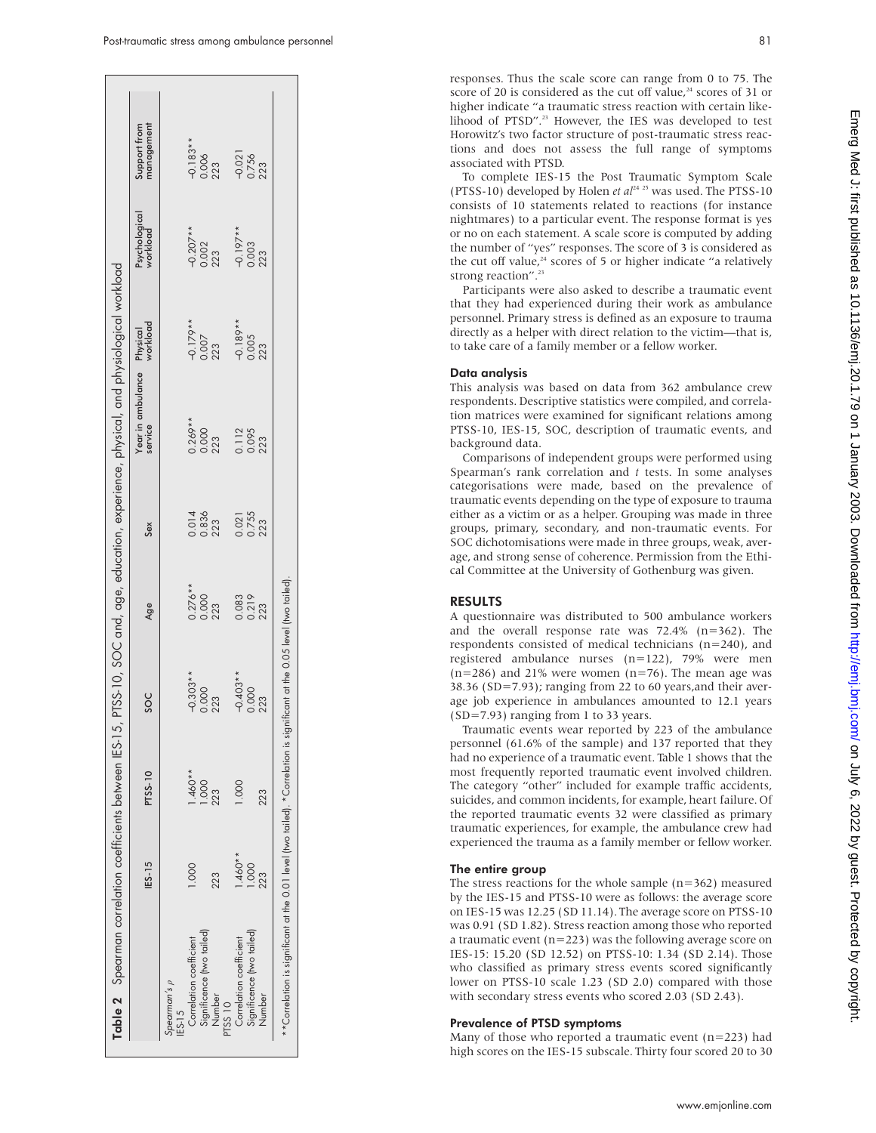| Table 2 Spearman correlation coefficients between IES-15,                                                               |           |           |                                                         |                                                        |                       | PTSS-10, SOC and, age, education, experience, physical, and physiological workload |                            |                            |                                                      |
|-------------------------------------------------------------------------------------------------------------------------|-----------|-----------|---------------------------------------------------------|--------------------------------------------------------|-----------------------|------------------------------------------------------------------------------------|----------------------------|----------------------------|------------------------------------------------------|
|                                                                                                                         | IES-15    | PTSS-10   | SOC                                                     | Age                                                    | Sex                   | Year in ambulance<br>service                                                       | Physical<br>workload       | Psychological<br>workload  | Support from<br>management                           |
| Spearman's $\rho$<br>IES-15                                                                                             |           |           |                                                         |                                                        |                       |                                                                                    |                            |                            |                                                      |
| Correlation coefficient                                                                                                 | 1.000     | $1.460**$ |                                                         |                                                        |                       |                                                                                    |                            |                            |                                                      |
| Significence (two tailed)                                                                                               |           | 1.000     |                                                         |                                                        |                       |                                                                                    |                            |                            |                                                      |
| Number<br>PTSS 10                                                                                                       | 223       | 223       | $\begin{array}{r} -0.303** \\ 0.000 \\ 223 \end{array}$ | $\begin{array}{c} 0.276** \\ 0.000 \\ 223 \end{array}$ | 0.014<br>0.836<br>223 | $\begin{array}{c} 0.269** \\ 0.000 \\ 223 \end{array}$                             | $-0.179**$<br>0.007<br>223 | $-0.207**$<br>0.002<br>223 | $-0.183**$<br>0.006<br>0.23<br>223<br>0.756<br>0.756 |
| Correlation coefficient                                                                                                 | $1.460**$ | 0001      | $\begin{array}{r} -0.403** \\ 0.000 \\ 223 \end{array}$ | 0.083<br>0.219<br>223                                  | 0.021<br>0.755<br>223 | 0.112<br>0.095<br>223                                                              | $-0.189**$<br>0.005<br>223 | $\frac{-0.197**}{0.003}$   |                                                      |
| Significence (two tailed)                                                                                               | 1.000     |           |                                                         |                                                        |                       |                                                                                    |                            |                            |                                                      |
| dumber                                                                                                                  | 223       | 223       |                                                         |                                                        |                       |                                                                                    |                            |                            |                                                      |
| *Correlation is significant at the 0.01 level (two tailed). *Correlation is significant at the 0.05 level (two tailed). |           |           |                                                         |                                                        |                       |                                                                                    |                            |                            |                                                      |
|                                                                                                                         |           |           |                                                         |                                                        |                       |                                                                                    |                            |                            |                                                      |
|                                                                                                                         |           |           |                                                         |                                                        |                       |                                                                                    |                            |                            |                                                      |

To complete IES-15 the Post Traumatic Symptom Scale (PTSS-10) developed by Holen *et al*<sup>24 25</sup> was used. The PTSS-10 consists of 10 statements related to reactions (for instance nightmares) to a particular event. The response format is yes or no on each statement. A scale score is computed by adding the number of "yes" responses. The score of 3 is considered as the cut off value, $24$  scores of 5 or higher indicate "a relatively strong reaction".<sup>23</sup>

Participants were also asked to describe a traumatic event that they had experienced during their work as ambulance personnel. Primary stress is defined as an exposure to trauma directly as a helper with direct relation to the victim—that is, to take care of a family member or a fellow worker.

#### Data analysis

This analysis was based on data from 362 ambulance crew respondents. Descriptive statistics were compiled, and correlation matrices were examined for significant relations among PTSS-10, IES-15, SOC, description of traumatic events, and background data.

Comparisons of independent groups were performed using Spearman's rank correlation and *t* tests. In some analyses categorisations were made, based on the prevalence of traumatic events depending on the type of exposure to trauma either as a victim or as a helper. Grouping was made in three groups, primary, secondary, and non-traumatic events. For SOC dichotomisations were made in three groups, weak, average, and strong sense of coherence. Permission from the Ethical Committee at the University of Gothenburg was given.

### RESULTS

A questionnaire was distributed to 500 ambulance workers and the overall response rate was  $72.4\%$  (n=362). The respondents consisted of medical technicians (n=240), and registered ambulance nurses (n=122), 79% were men  $(n=286)$  and 21% were women  $(n=76)$ . The mean age was 38.36 (SD=7.93); ranging from 22 to 60 years,and their average job experience in ambulances amounted to 12.1 years (SD=7.93) ranging from 1 to 33 years.

Traumatic events wear reported by 223 of the ambulance personnel (61.6% of the sample) and 137 reported that they had no experience of a traumatic event. Table 1 shows that the most frequently reported traumatic event involved children. The category "other" included for example traffic accidents, suicides, and common incidents, for example, heart failure. Of the reported traumatic events 32 were classified as primary traumatic experiences, for example, the ambulance crew had experienced the trauma as a family member or fellow worker.

#### The entire group

The stress reactions for the whole sample  $(n=362)$  measured by the IES-15 and PTSS-10 were as follows: the average score on IES-15 was 12.25 (SD 11.14). The average score on PTSS-10 was 0.91 (SD 1.82). Stress reaction among those who reported a traumatic event (n=223) was the following average score on IES-15: 15.20 (SD 12.52) on PTSS-10: 1.34 (SD 2.14). Those who classified as primary stress events scored significantly lower on PTSS-10 scale 1.23 (SD 2.0) compared with those with secondary stress events who scored 2.03 (SD 2.43).

#### Prevalence of PTSD symptoms

Many of those who reported a traumatic event  $(n=223)$  had high scores on the IES-15 subscale. Thirty four scored 20 to 30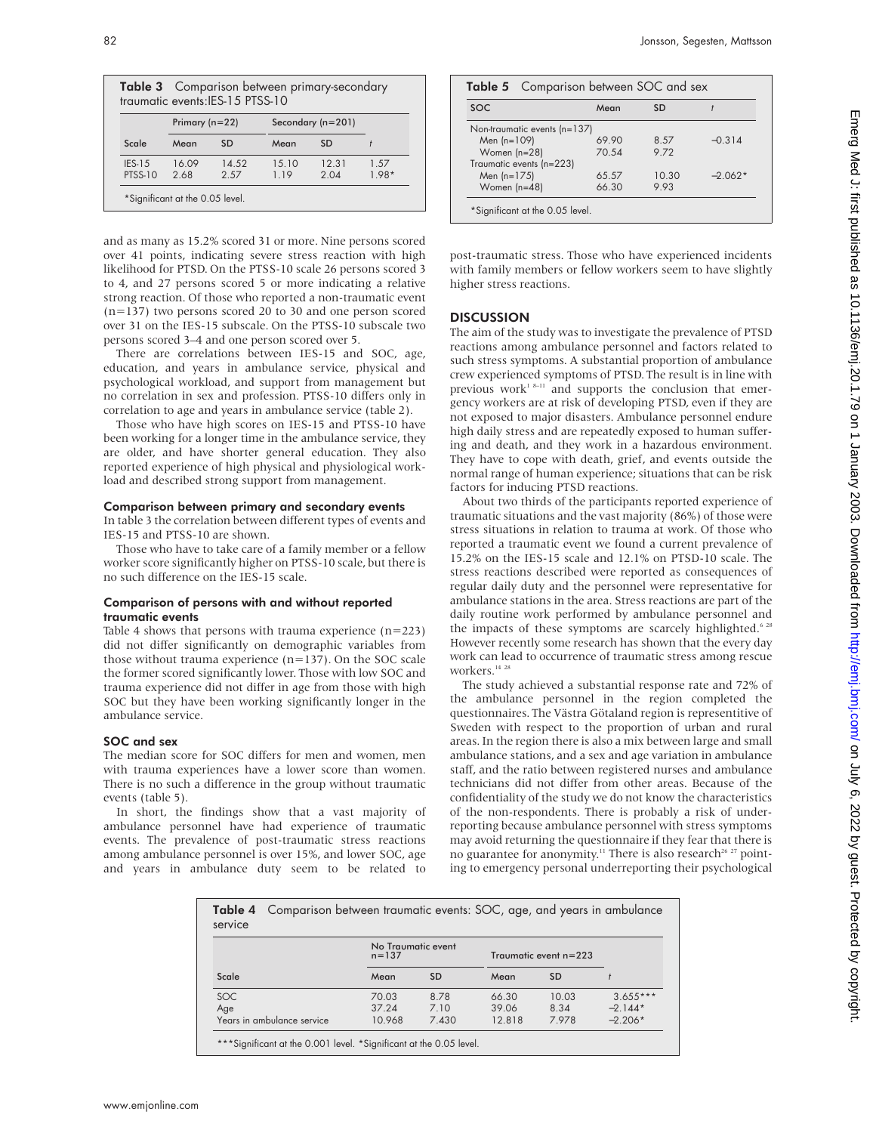|                |       | Primary $(n=22)$ |       | Secondary (n=201) |         |
|----------------|-------|------------------|-------|-------------------|---------|
| Scale          | Mean  | <b>SD</b>        | Mean  | <b>SD</b>         |         |
| $IES-15$       | 16.09 | 14.52            | 15.10 | 12.31             | 1.57    |
| <b>PTSS-10</b> | 2.68  | 2.57             | 1 19  | 204               | $1.98*$ |

and as many as 15.2% scored 31 or more. Nine persons scored over 41 points, indicating severe stress reaction with high likelihood for PTSD. On the PTSS-10 scale 26 persons scored 3 to 4, and 27 persons scored 5 or more indicating a relative strong reaction. Of those who reported a non-traumatic event (n=137) two persons scored 20 to 30 and one person scored over 31 on the IES-15 subscale. On the PTSS-10 subscale two persons scored 3–4 and one person scored over 5.

There are correlations between IES-15 and SOC, age, education, and years in ambulance service, physical and psychological workload, and support from management but no correlation in sex and profession. PTSS-10 differs only in correlation to age and years in ambulance service (table 2).

Those who have high scores on IES-15 and PTSS-10 have been working for a longer time in the ambulance service, they are older, and have shorter general education. They also reported experience of high physical and physiological workload and described strong support from management.

#### Comparison between primary and secondary events

In table 3 the correlation between different types of events and IES-15 and PTSS-10 are shown.

Those who have to take care of a family member or a fellow worker score significantly higher on PTSS-10 scale, but there is no such difference on the IES-15 scale.

#### Comparison of persons with and without reported traumatic events

Table 4 shows that persons with trauma experience  $(n=223)$ did not differ significantly on demographic variables from those without trauma experience  $(n=137)$ . On the SOC scale the former scored significantly lower. Those with low SOC and trauma experience did not differ in age from those with high SOC but they have been working significantly longer in the ambulance service.

#### SOC and sex

The median score for SOC differs for men and women, men with trauma experiences have a lower score than women. There is no such a difference in the group without traumatic events (table 5).

In short, the findings show that a vast majority of ambulance personnel have had experience of traumatic events. The prevalence of post-traumatic stress reactions among ambulance personnel is over 15%, and lower SOC, age and years in ambulance duty seem to be related to

| <b>Table 5</b> Comparison between SOC and sex |       |       |           |  |  |  |
|-----------------------------------------------|-------|-------|-----------|--|--|--|
| SOC                                           | Mean  | SD.   |           |  |  |  |
| Non-traumatic events (n=137)                  |       |       |           |  |  |  |
| Men $(n=109)$                                 | 69.90 | 8.57  | $-0.314$  |  |  |  |
| Women $(n=28)$                                | 70.54 | 972   |           |  |  |  |
| Traumatic events (n=223)                      |       |       |           |  |  |  |
| Men $(n=175)$                                 | 65.57 | 10.30 | $-2.062*$ |  |  |  |
| Women (n=48)                                  | 66.30 | 9.93  |           |  |  |  |

post-traumatic stress. Those who have experienced incidents with family members or fellow workers seem to have slightly higher stress reactions.

#### **DISCUSSION**

The aim of the study was to investigate the prevalence of PTSD reactions among ambulance personnel and factors related to such stress symptoms. A substantial proportion of ambulance crew experienced symptoms of PTSD. The result is in line with previous work<sup>1 8–11</sup> and supports the conclusion that emergency workers are at risk of developing PTSD, even if they are not exposed to major disasters. Ambulance personnel endure high daily stress and are repeatedly exposed to human suffering and death, and they work in a hazardous environment. They have to cope with death, grief, and events outside the normal range of human experience; situations that can be risk factors for inducing PTSD reactions.

About two thirds of the participants reported experience of traumatic situations and the vast majority (86%) of those were stress situations in relation to trauma at work. Of those who reported a traumatic event we found a current prevalence of 15.2% on the IES-15 scale and 12.1% on PTSD-10 scale. The stress reactions described were reported as consequences of regular daily duty and the personnel were representative for ambulance stations in the area. Stress reactions are part of the daily routine work performed by ambulance personnel and the impacts of these symptoms are scarcely highlighted.<sup>6 28</sup> However recently some research has shown that the every day work can lead to occurrence of traumatic stress among rescue workers.<sup>14 28</sup>

The study achieved a substantial response rate and 72% of the ambulance personnel in the region completed the questionnaires. The Västra Götaland region is representitive of Sweden with respect to the proportion of urban and rural areas. In the region there is also a mix between large and small ambulance stations, and a sex and age variation in ambulance staff, and the ratio between registered nurses and ambulance technicians did not differ from other areas. Because of the confidentiality of the study we do not know the characteristics of the non-respondents. There is probably a risk of underreporting because ambulance personnel with stress symptoms may avoid returning the questionnaire if they fear that there is no guarantee for anonymity.<sup>11</sup> There is also research<sup>26 27</sup> pointing to emergency personal underreporting their psychological

Table 4 Comparison between traumatic events: SOC, age, and years in ambulance service

|                            | No Traumatic event<br>$n = 137$ |           |        | Traumatic event $n = 223$ |            |
|----------------------------|---------------------------------|-----------|--------|---------------------------|------------|
| Scale                      | Mean                            | <b>SD</b> | Mean   | SD                        |            |
| SOC                        | 70.03                           | 8.78      | 66.30  | 10.03                     | $3.655***$ |
| Age                        | 37.24                           | 7.10      | 39.06  | 8.34                      | $-2.144*$  |
| Years in ambulance service | 10.968                          | 7.430     | 12.818 | 7.978                     | $-2.206*$  |

Significant at the 0.001 level. \*Significant at the 0.05 level.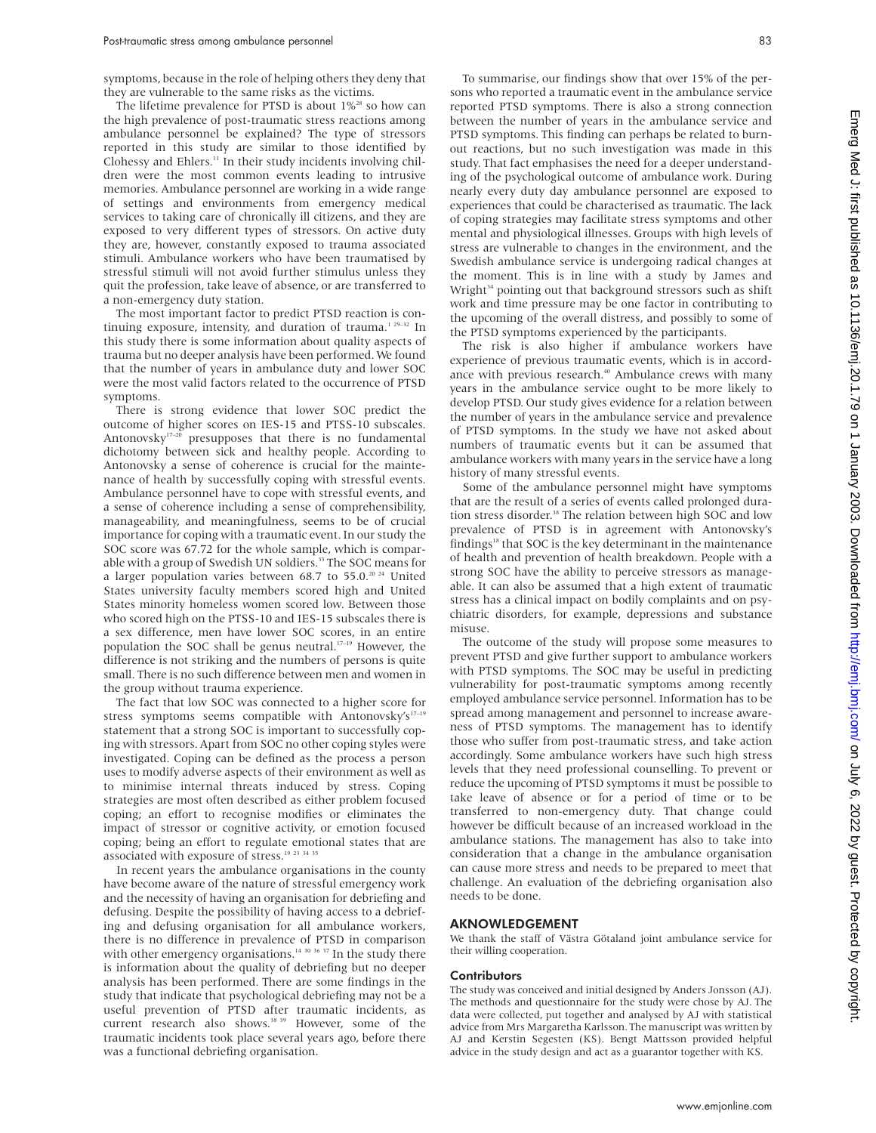symptoms, because in the role of helping others they deny that they are vulnerable to the same risks as the victims.

The lifetime prevalence for PTSD is about  $1\%$ <sup>28</sup> so how can the high prevalence of post-traumatic stress reactions among ambulance personnel be explained? The type of stressors reported in this study are similar to those identified by Clohessy and Ehlers.<sup>11</sup> In their study incidents involving children were the most common events leading to intrusive memories. Ambulance personnel are working in a wide range of settings and environments from emergency medical services to taking care of chronically ill citizens, and they are exposed to very different types of stressors. On active duty they are, however, constantly exposed to trauma associated stimuli. Ambulance workers who have been traumatised by stressful stimuli will not avoid further stimulus unless they quit the profession, take leave of absence, or are transferred to a non-emergency duty station.

The most important factor to predict PTSD reaction is continuing exposure, intensity, and duration of trauma.<sup>1 29-32</sup> In this study there is some information about quality aspects of trauma but no deeper analysis have been performed. We found that the number of years in ambulance duty and lower SOC were the most valid factors related to the occurrence of PTSD symptoms.

There is strong evidence that lower SOC predict the outcome of higher scores on IES-15 and PTSS-10 subscales. Antonovsky<sup>17-20</sup> presupposes that there is no fundamental dichotomy between sick and healthy people. According to Antonovsky a sense of coherence is crucial for the maintenance of health by successfully coping with stressful events. Ambulance personnel have to cope with stressful events, and a sense of coherence including a sense of comprehensibility, manageability, and meaningfulness, seems to be of crucial importance for coping with a traumatic event. In our study the SOC score was 67.72 for the whole sample, which is comparable with a group of Swedish UN soldiers.<sup>33</sup> The SOC means for a larger population varies between 68.7 to 55.0.<sup>20 24</sup> United States university faculty members scored high and United States minority homeless women scored low. Between those who scored high on the PTSS-10 and IES-15 subscales there is a sex difference, men have lower SOC scores, in an entire population the SOC shall be genus neutral.<sup>17-19</sup> However, the difference is not striking and the numbers of persons is quite small. There is no such difference between men and women in the group without trauma experience.

The fact that low SOC was connected to a higher score for stress symptoms seems compatible with Antonovsky's<sup>17-19</sup> statement that a strong SOC is important to successfully coping with stressors. Apart from SOC no other coping styles were investigated. Coping can be defined as the process a person uses to modify adverse aspects of their environment as well as to minimise internal threats induced by stress. Coping strategies are most often described as either problem focused coping; an effort to recognise modifies or eliminates the impact of stressor or cognitive activity, or emotion focused coping; being an effort to regulate emotional states that are associated with exposure of stress.<sup>19</sup><sup>23</sup> <sup>34</sup><sup>35</sup>

In recent years the ambulance organisations in the county have become aware of the nature of stressful emergency work and the necessity of having an organisation for debriefing and defusing. Despite the possibility of having access to a debriefing and defusing organisation for all ambulance workers, there is no difference in prevalence of PTSD in comparison with other emergency organisations.<sup>14 30</sup> <sup>36</sup> <sup>37</sup> In the study there is information about the quality of debriefing but no deeper analysis has been performed. There are some findings in the study that indicate that psychological debriefing may not be a useful prevention of PTSD after traumatic incidents, as current research also shows.<sup>38 39</sup> However, some of the traumatic incidents took place several years ago, before there was a functional debriefing organisation.

To summarise, our findings show that over 15% of the persons who reported a traumatic event in the ambulance service reported PTSD symptoms. There is also a strong connection between the number of years in the ambulance service and PTSD symptoms. This finding can perhaps be related to burnout reactions, but no such investigation was made in this study. That fact emphasises the need for a deeper understanding of the psychological outcome of ambulance work. During nearly every duty day ambulance personnel are exposed to experiences that could be characterised as traumatic. The lack of coping strategies may facilitate stress symptoms and other mental and physiological illnesses. Groups with high levels of stress are vulnerable to changes in the environment, and the Swedish ambulance service is undergoing radical changes at the moment. This is in line with a study by James and Wright<sup>34</sup> pointing out that background stressors such as shift work and time pressure may be one factor in contributing to the upcoming of the overall distress, and possibly to some of the PTSD symptoms experienced by the participants.

The risk is also higher if ambulance workers have experience of previous traumatic events, which is in accordance with previous research.<sup>40</sup> Ambulance crews with many years in the ambulance service ought to be more likely to develop PTSD. Our study gives evidence for a relation between the number of years in the ambulance service and prevalence of PTSD symptoms. In the study we have not asked about numbers of traumatic events but it can be assumed that ambulance workers with many years in the service have a long history of many stressful events.

Some of the ambulance personnel might have symptoms that are the result of a series of events called prolonged duration stress disorder.<sup>38</sup> The relation between high SOC and low prevalence of PTSD is in agreement with Antonovsky's findings<sup>18</sup> that SOC is the key determinant in the maintenance of health and prevention of health breakdown. People with a strong SOC have the ability to perceive stressors as manageable. It can also be assumed that a high extent of traumatic stress has a clinical impact on bodily complaints and on psychiatric disorders, for example, depressions and substance misuse.

The outcome of the study will propose some measures to prevent PTSD and give further support to ambulance workers with PTSD symptoms. The SOC may be useful in predicting vulnerability for post-traumatic symptoms among recently employed ambulance service personnel. Information has to be spread among management and personnel to increase awareness of PTSD symptoms. The management has to identify those who suffer from post-traumatic stress, and take action accordingly. Some ambulance workers have such high stress levels that they need professional counselling. To prevent or reduce the upcoming of PTSD symptoms it must be possible to take leave of absence or for a period of time or to be transferred to non-emergency duty. That change could however be difficult because of an increased workload in the ambulance stations. The management has also to take into consideration that a change in the ambulance organisation can cause more stress and needs to be prepared to meet that challenge. An evaluation of the debriefing organisation also needs to be done.

#### AKNOWLEDGEMENT

We thank the staff of Västra Götaland joint ambulance service for their willing cooperation.

#### **Contributors**

The study was conceived and initial designed by Anders Jonsson (AJ). The methods and questionnaire for the study were chose by AJ. The data were collected, put together and analysed by AJ with statistical advice from Mrs Margaretha Karlsson. The manuscript was written by AJ and Kerstin Segesten (KS). Bengt Mattsson provided helpful advice in the study design and act as a guarantor together with KS.